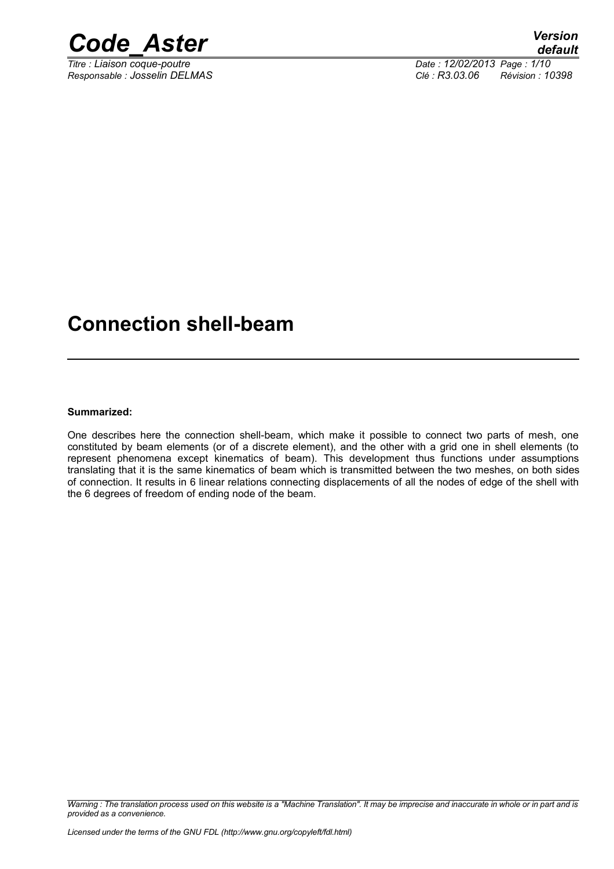

*Titre : Liaison coque-poutre Date : 12/02/2013 Page : 1/10 Responsable : Josselin DELMAS Clé : R3.03.06 Révision : 10398*

### **Connection shell-beam**

#### **Summarized:**

One describes here the connection shell-beam, which make it possible to connect two parts of mesh, one constituted by beam elements (or of a discrete element), and the other with a grid one in shell elements (to represent phenomena except kinematics of beam). This development thus functions under assumptions translating that it is the same kinematics of beam which is transmitted between the two meshes, on both sides of connection. It results in 6 linear relations connecting displacements of all the nodes of edge of the shell with the 6 degrees of freedom of ending node of the beam.

*Warning : The translation process used on this website is a "Machine Translation". It may be imprecise and inaccurate in whole or in part and is provided as a convenience.*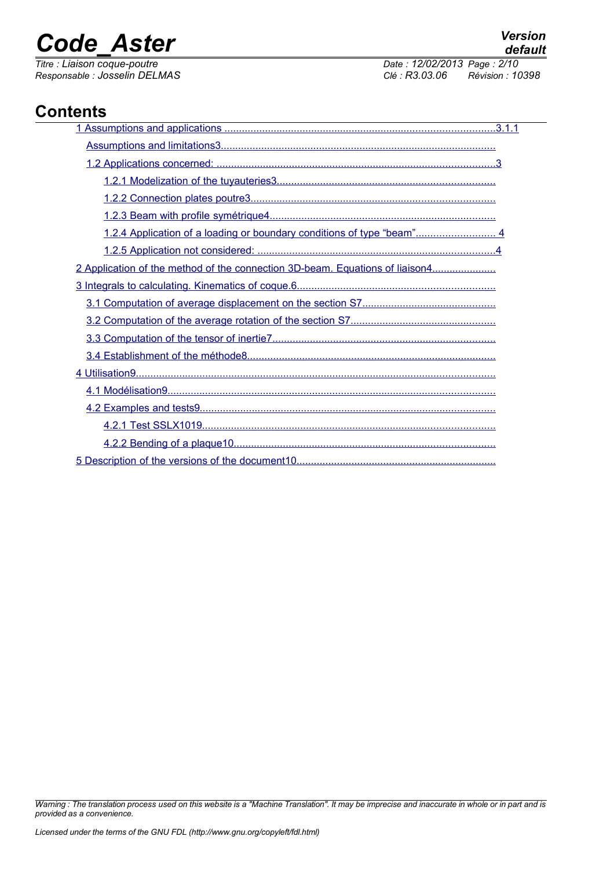*default The : 12/02/2013 Page : 2/10*<br>*Clé : R3.03.06 Révision : 10 Responsable : Josselin DELMAS Clé : R3.03.06 Révision : 10398*

### **Contents**

| 1.2.4 Application of a loading or boundary conditions of type "beam" 4       |  |
|------------------------------------------------------------------------------|--|
|                                                                              |  |
| 2 Application of the method of the connection 3D-beam. Equations of liaison4 |  |
|                                                                              |  |
|                                                                              |  |
|                                                                              |  |
|                                                                              |  |
|                                                                              |  |
|                                                                              |  |
|                                                                              |  |
|                                                                              |  |
|                                                                              |  |
|                                                                              |  |
|                                                                              |  |

*Warning : The translation process used on this website is a "Machine Translation". It may be imprecise and inaccurate in whole or in part and is provided as a convenience.*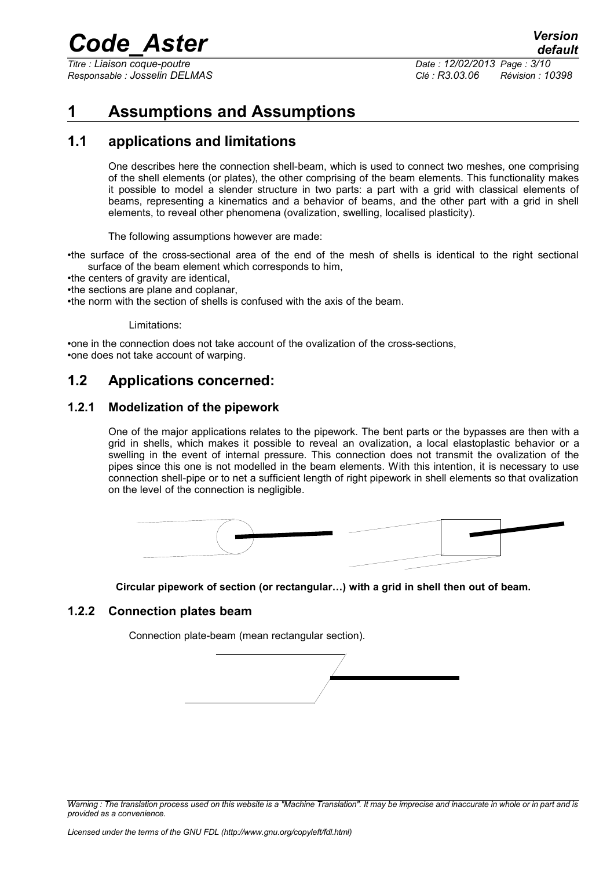*Titre : Liaison coque-poutre Date : 12/02/2013 Page : 3/10*

*Responsable : Josselin DELMAS Clé : R3.03.06 Révision : 10398*

### <span id="page-2-0"></span>**1 Assumptions and Assumptions**

### **1.1 applications and limitations**

<span id="page-2-4"></span>One describes here the connection shell-beam, which is used to connect two meshes, one comprising of the shell elements (or plates), the other comprising of the beam elements. This functionality makes it possible to model a slender structure in two parts: a part with a grid with classical elements of beams, representing a kinematics and a behavior of beams, and the other part with a grid in shell elements, to reveal other phenomena (ovalization, swelling, localised plasticity).

The following assumptions however are made:

•the surface of the cross-sectional area of the end of the mesh of shells is identical to the right sectional surface of the beam element which corresponds to him,

- •the centers of gravity are identical,
- •the sections are plane and coplanar,

•the norm with the section of shells is confused with the axis of the beam.

Limitations:

•one in the connection does not take account of the ovalization of the cross-sections, •one does not take account of warping.

### <span id="page-2-3"></span>**1.2 Applications concerned:**

#### **1.2.1 Modelization of the pipework**

<span id="page-2-2"></span>One of the major applications relates to the pipework. The bent parts or the bypasses are then with a grid in shells, which makes it possible to reveal an ovalization, a local elastoplastic behavior or a swelling in the event of internal pressure. This connection does not transmit the ovalization of the pipes since this one is not modelled in the beam elements. With this intention, it is necessary to use connection shell-pipe or to net a sufficient length of right pipework in shell elements so that ovalization on the level of the connection is negligible.



<span id="page-2-1"></span>**Circular pipework of section (or rectangular…) with a grid in shell then out of beam.**

#### **1.2.2 Connection plates beam**

Connection plate-beam (mean rectangular section).



*Warning : The translation process used on this website is a "Machine Translation". It may be imprecise and inaccurate in whole or in part and is provided as a convenience.*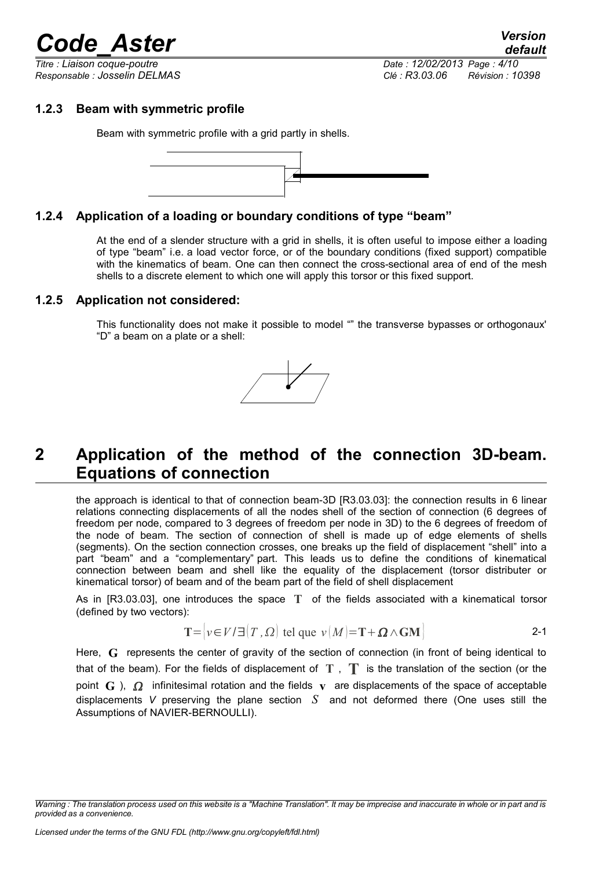*default Titre : Liaison coque-poutre Date : 12/02/2013 Page : 4/10 Responsable : Josselin DELMAS Clé : R3.03.06 Révision : 10398*

### **1.2.3 Beam with symmetric profile**

<span id="page-3-3"></span>Beam with symmetric profile with a grid partly in shells.



#### **1.2.4 Application of a loading or boundary conditions of type "beam"**

<span id="page-3-2"></span>At the end of a slender structure with a grid in shells, it is often useful to impose either a loading of type "beam" i.e. a load vector force, or of the boundary conditions (fixed support) compatible with the kinematics of beam. One can then connect the cross-sectional area of end of the mesh shells to a discrete element to which one will apply this torsor or this fixed support.

#### **1.2.5 Application not considered:**

<span id="page-3-1"></span>This functionality does not make it possible to model "" the transverse bypasses or orthogonaux' "D" a beam on a plate or a shell:



### <span id="page-3-0"></span>**2 Application of the method of the connection 3D-beam. Equations of connection**

the approach is identical to that of connection beam-3D [R3.03.03]: the connection results in 6 linear relations connecting displacements of all the nodes shell of the section of connection (6 degrees of freedom per node, compared to 3 degrees of freedom per node in 3D) to the 6 degrees of freedom of the node of beam. The section of connection of shell is made up of edge elements of shells (segments). On the section connection crosses, one breaks up the field of displacement "shell" into a part "beam" and a "complementary" part. This leads us to define the conditions of kinematical connection between beam and shell like the equality of the displacement (torsor distributer or kinematical torsor) of beam and of the beam part of the field of shell displacement

As in [R3.03.03], one introduces the space **T** of the fields associated with a kinematical torsor (defined by two vectors):

$$
T = |v \in V / \exists |T, \Omega| \text{ tel que } v \{M\} = T + \Omega \wedge GM
$$

Here, **G** represents the center of gravity of the section of connection (in front of being identical to that of the beam). For the fields of displacement of **T** , **T** is the translation of the section (or the point  $\mathbf{G}$ ),  $\Omega$  infinitesimal rotation and the fields **v** are displacements of the space of acceptable displacements *V* preserving the plane section *S* and not deformed there (One uses still the Assumptions of NAVIER-BERNOULLI).

*Warning : The translation process used on this website is a "Machine Translation". It may be imprecise and inaccurate in whole or in part and is provided as a convenience.*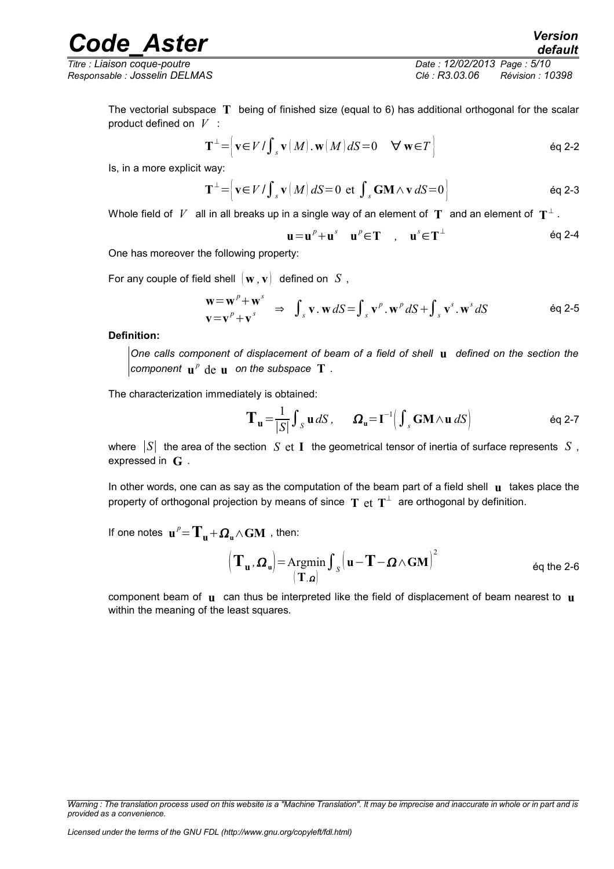*Titre : Liaison coque-poutre Date : 12/02/2013 Page : 5/10 Responsable : Josselin DELMAS Clé : R3.03.06 Révision : 10398*

The vectorial subspace **T** being of finished size (equal to 6) has additional orthogonal for the scalar product defined on *V* :

$$
\mathbf{T}^{\perp} = \left[ \mathbf{v} \in V / \int_{S} \mathbf{v} \, (M) \cdot \mathbf{w} \, (M) \, dS = 0 \quad \forall \, \mathbf{w} \in T \right] \tag{6q 2-2}
$$

Is, in a more explicit way:

$$
\mathbf{T}^{\perp} = \Big[ \mathbf{v} \in V / \int_{s} \mathbf{v} \, (M) \, dS = 0 \text{ et } \int_{s} \mathbf{GM} \wedge \mathbf{v} \, dS = 0 \Big] \tag{6q 2-3}
$$

Whole field of  $\mathit{V}^-$  all in all breaks up in a single way of an element of  $\mathbf{T}^-$  and an element of  $\mathbf{T}^\perp$  .

$$
\mathbf{u} = \mathbf{u}^p + \mathbf{u}^s \quad \mathbf{u}^p \in \mathbf{T} \quad , \quad \mathbf{u}^s \in \mathbf{T}^\perp \tag{6q 2-4}
$$

One has moreover the following property:

For any couple of field shell  $\{w, v\}$  defined on  $S$ ,

$$
\mathbf{w} = \mathbf{w}^p + \mathbf{w}^s \Rightarrow \int_s \mathbf{v} \cdot \mathbf{w} \, dS = \int_s \mathbf{v}^p \cdot \mathbf{w}^p \, dS + \int_s \mathbf{v}^s \cdot \mathbf{w}^s \, dS \tag{eq 2-5}
$$

**Definition:**

*One calls component of displacement of beam of a field of shell* **u** *defined on the section the*  $\mathbf{p}$  component  $\mathbf{u}^p$  de  $\mathbf{u}$  on the subspace  $\mathbf{T}$  .

The characterization immediately is obtained:

$$
\mathbf{T}_{\mathbf{u}} = \frac{1}{|S|} \int_{S} \mathbf{u} \, dS \,, \qquad \mathbf{\Omega}_{\mathbf{u}} = \mathbf{I}^{-1} \Big( \int_{S} \mathbf{G} \mathbf{M} \wedge \mathbf{u} \, dS \Big) \tag{6q 2-7}
$$

where ∣*S*∣ the area of the section *S* et **I** the geometrical tensor of inertia of surface represents *S* , expressed in **G** .

In other words, one can as say as the computation of the beam part of a field shell **u** takes place the property of orthogonal projection by means of since  $\, {\bf T} \,$  et  $\, {\bf T}^\perp \,$  are orthogonal by definition.

If one notes  $\mathbf{u}^p = \mathbf{T_u} + \mathbf{\Omega_u} \wedge \mathbf{GM}$  , then:

$$
\left(\mathbf{T}_{\mathbf{u}}, \boldsymbol{\Omega}_{\mathbf{u}}\right) = \underset{\left(\mathbf{T}, \boldsymbol{\Omega}\right)}{\text{Argmin}} \int_{\mathcal{S}} \left(\mathbf{u} - \mathbf{T} - \boldsymbol{\Omega} \wedge \mathbf{G} \mathbf{M}\right)^2 \qquad \text{Eq the 2-6}
$$

component beam of **u** can thus be interpreted like the field of displacement of beam nearest to **u** within the meaning of the least squares.

*Warning : The translation process used on this website is a "Machine Translation". It may be imprecise and inaccurate in whole or in part and is provided as a convenience.*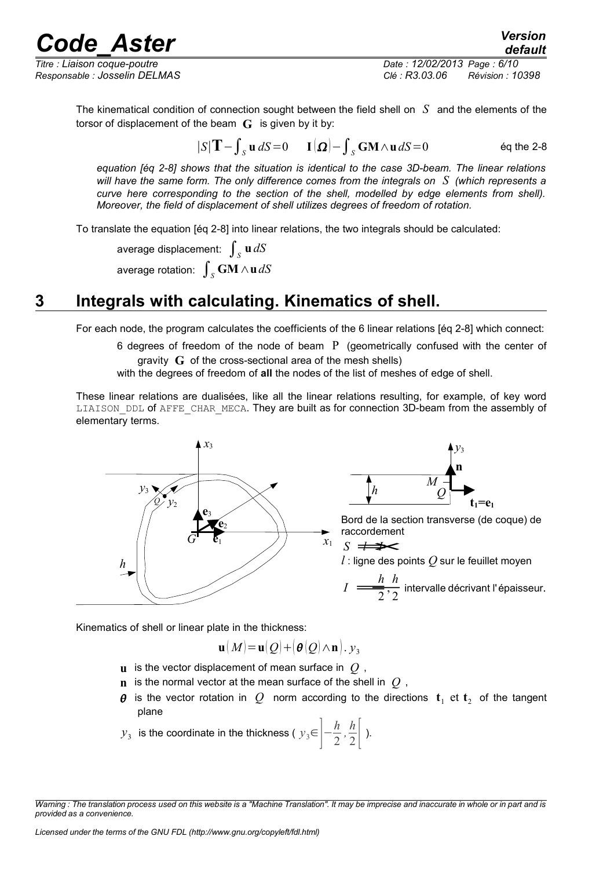*Titre : Liaison coque-poutre Date : 12/02/2013 Page : 6/10 Responsable : Josselin DELMAS Clé : R3.03.06 Révision : 10398*

*default*

The kinematical condition of connection sought between the field shell on *S* and the elements of the torsor of displacement of the beam **G** is given by it by:

$$
|S|T - \int_{S} \mathbf{u} \, dS = 0 \qquad \mathbf{I}(\Omega) - \int_{S} \mathbf{GM} \wedge \mathbf{u} \, dS = 0 \qquad \text{Eq the 2-8}
$$

*equation [éq 2-8] shows that the situation is identical to the case 3D-beam. The linear relations will have the same form. The only difference comes from the integrals on S (which represents a curve here corresponding to the section of the shell, modelled by edge elements from shell). Moreover, the field of displacement of shell utilizes degrees of freedom of rotation.*

To translate the equation [éq 2-8] into linear relations, the two integrals should be calculated:

average displacement:  $\int_S \mathbf{u} \, dS$ average rotation:  $\int_S \mathbf{G} \mathbf{M} \wedge \mathbf{u} \, dS$ 

### **3 Integrals with calculating. Kinematics of shell.**

<span id="page-5-0"></span>For each node, the program calculates the coefficients of the 6 linear relations [éq 2-8] which connect:

6 degrees of freedom of the node of beam  $P$  (geometrically confused with the center of gravity **G** of the cross-sectional area of the mesh shells)

with the degrees of freedom of **all** the nodes of the list of meshes of edge of shell.

These linear relations are dualisées, like all the linear relations resulting, for example, of key word LIAISON DDL of AFFE CHAR MECA. They are built as for connection 3D-beam from the assembly of elementary terms.





Bord de la section transverse (de coque) de raccordement

*l* : ligne des points *Q* sur le feuillet moyen  
\n
$$
I = \frac{h}{2}, \frac{h}{2}
$$
\nIntervalle décrivant l'épaisseur.

Kinematics of shell or linear plate in the thickness:

$$
\mathbf{u}(M) \!=\! \mathbf{u}(Q) \!+\! \left(\boldsymbol{\theta}(Q) \!\wedge\! \mathbf{n}\right) . \, \mathbf{y}_3
$$

- **u** is the vector displacement of mean surface in *Q* ,
- **n** is the normal vector at the mean surface of the shell in *Q* ,
- $\boldsymbol{\theta}$  is the vector rotation in  $Q$  norm according to the directions  $\mathbf{t}_1$  et  $\mathbf{t}_2$  of the tangent plane
- $y_3$  is the coordinate in the thickness (  $y_3$ ∈ $\left| \frac{h}{2} \right|$ 2  $\frac{h}{2}$  $\frac{\pi}{2}$ .

*Warning : The translation process used on this website is a "Machine Translation". It may be imprecise and inaccurate in whole or in part and is provided as a convenience.*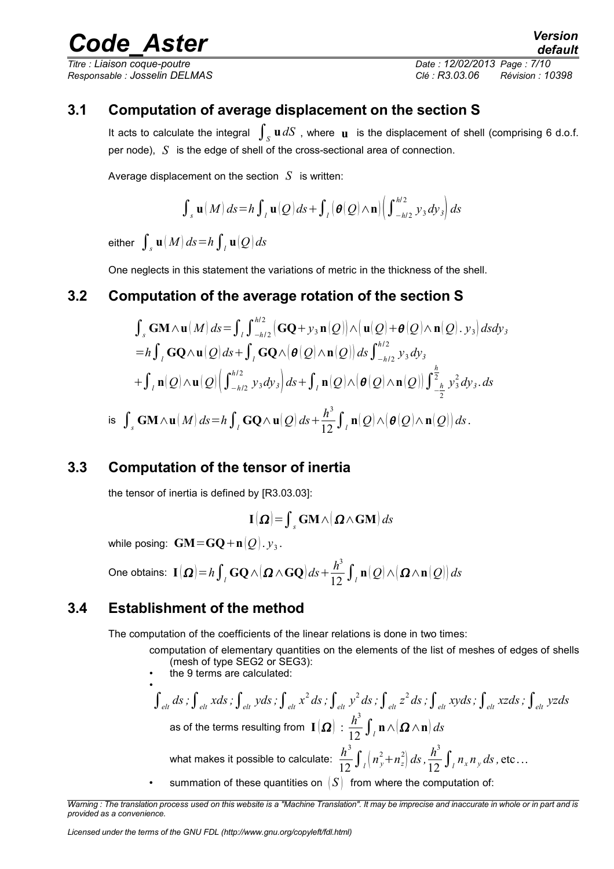*Titre : Liaison coque-poutre Date : 12/02/2013 Page : 7/10 Responsable : Josselin DELMAS Clé : R3.03.06 Révision : 10398*

### **3.1 Computation of average displacement on the section S**

<span id="page-6-3"></span>It acts to calculate the integral  $\int_S \mathbf{u} dS$  , where  $\mathbf{u}$  is the displacement of shell (comprising 6 d.o.f. per node), *S* is the edge of shell of the cross-sectional area of connection.

Average displacement on the section *S* is written:

$$
\int_{s} \mathbf{u}(M) ds = h \int_{l} \mathbf{u}(Q) ds + \int_{l} \left( \boldsymbol{\theta}(Q) \wedge \mathbf{n} \right) \left( \int_{-h/2}^{h/2} y_{3} dy_{3} \right) ds
$$

 $\operatorname{\sf{either}} \int_s \mathbf{u}(M) \, ds \!=\!h \int_{l} \mathbf{u}(Q) ds$ 

<span id="page-6-2"></span>One neglects in this statement the variations of metric in the thickness of the shell.

### **3.2 Computation of the average rotation of the section S**

*h*/ 2

$$
\int_{s} \mathbf{GM} \wedge \mathbf{u}(M) ds = \int_{l} \int_{-h/2}^{h/2} \left( \mathbf{GQ} + y_{3} \mathbf{n}(Q) \right) \wedge \left( \mathbf{u}(Q) + \theta(Q) \wedge \mathbf{n}(Q) \right) \cdot y_{3} \right) ds dy_{3}
$$
  
\n
$$
= h \int_{l} \mathbf{GQ} \wedge \mathbf{u}(Q) ds + \int_{l} \mathbf{GQ} \wedge \left( \theta(Q) \wedge \mathbf{n}(Q) \right) ds \int_{-h/2}^{h/2} y_{3} dy_{3}
$$
  
\n
$$
+ \int_{l} \mathbf{n}(Q) \wedge \mathbf{u}(Q) \left( \int_{-h/2}^{h/2} y_{3} dy_{3} \right) ds + \int_{l} \mathbf{n}(Q) \wedge \left( \theta(Q) \wedge \mathbf{n}(Q) \right) \int_{-\frac{h}{2}}^{\frac{h}{2}} y_{3}^{2} dy_{3} ds
$$
  
\nis  $\int_{s} \mathbf{GM} \wedge \mathbf{u}(M) ds = h \int_{l} \mathbf{GQ} \wedge \mathbf{u}(Q) ds + \frac{h^{3}}{12} \int_{l} \mathbf{n}(Q) \wedge \left( \theta(Q) \wedge \mathbf{n}(Q) \right) ds.$ 

### **3.3 Computation of the tensor of inertia**

<span id="page-6-1"></span>the tensor of inertia is defined by [R3.03.03]:

$$
\mathbf{I}\left(\mathbf{\Omega}\right) = \int_{\mathcal{S}} \mathbf{G} \mathbf{M} \wedge \left(\mathbf{\Omega} \wedge \mathbf{G} \mathbf{M}\right) d\mathbf{s}
$$

while posing:  $\textbf{GM=} \textbf{GQ} \!+\! \textbf{n}[\mathcal{Q}]$  .  $\!mathcal{Y}_3$  .

 $\textbf{One obtains:}~~\textbf{I}\left(\boldsymbol{\Omega}\right)\!=\!h\!\int_{I}\textbf{G}\textbf{Q}\,\wedge\!\left(\boldsymbol{\Omega}\wedge\textbf{G}\textbf{Q}\right)ds+\frac{h^{3}}{12}\int_{I}\textbf{n}\!\left(\mathcal{Q}\right)\!\wedge\!\left(\boldsymbol{\Omega}\wedge\textbf{n}\!\left(\mathcal{Q}\right)\right)ds$ 

### **3.4 Establishment of the method**

<span id="page-6-0"></span>The computation of the coefficients of the linear relations is done in two times:

computation of elementary quantities on the elements of the list of meshes of edges of shells (mesh of type SEG2 or SEG3):

the 9 terms are calculated:

$$
\int_{elt} ds \, \int_{elt} x ds \, \int_{elt} y ds \, \int_{elt} x^2 ds \, \int_{elt} y^2 ds \, \int_{elt} y^2 ds \, \int_{elt} z^2 ds \, \int_{elt} xy ds \, \int_{elt} xz ds \, \int_{elt} yz ds
$$
\nas of the terms resulting from  $\mathbf{I}(\Omega) : \frac{h^3}{12} \int_{l} \mathbf{n} \wedge (\Omega \wedge \mathbf{n}) ds$ 

\nwhat makes it possible to calculate: 
$$
\frac{h^3}{12} \int_{l} \left( n_y^2 + n_z^2 \right) ds \, \int_{l} \frac{h^3}{12} \int_{l} n_x n_y ds \, \text{etc} \dots
$$

summation of these quantities on  $|S|$  from where the computation of:

*Warning : The translation process used on this website is a "Machine Translation". It may be imprecise and inaccurate in whole or in part and is provided as a convenience.*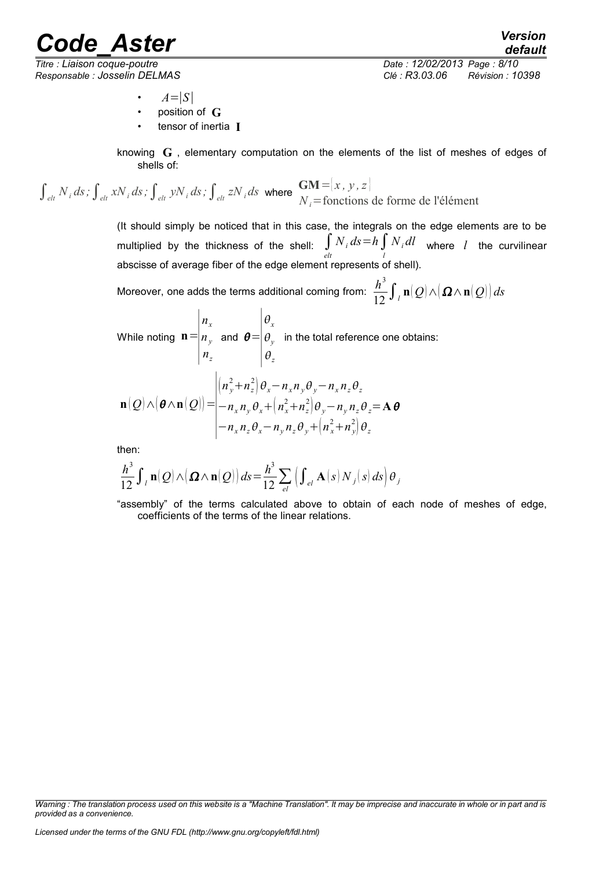*Responsable : Josselin DELMAS Clé : R3.03.06 Révision : 10398*

*default Titre : Liaison coque-poutre Date : 12/02/2013 Page : 8/10*

- $A=|S|$
- position of **G**
- tensor of inertia **I**

knowing **G** , elementary computation on the elements of the list of meshes of edges of shells of:

 $\int_{\text{elt}} N_i \, ds$ ;  $\int_{\text{elt}} xN_i \, ds$ ;  $\int_{\text{elt}} yN_i \, ds$ ;  $\int_{\text{elt}} zN_i \, ds$  where  $\frac{GM}{N} = \frac{|x, y, z|}{N}$ *Ni*=fonctions de forme de l'élément

> (It should simply be noticed that in this case, the integrals on the edge elements are to be multiplied by the thickness of the shell:  $\int_{elt} N_i ds = h \int_l N_i dl$  where *l* the curvilinear abscisse of average fiber of the edge element represents of shell).

Moreover, one adds the terms additional coming from:  $\frac{h^3}{12}\int_{-l}{\bf n}|Q|\wedge\!(\boldsymbol\Omega\wedge{\bf n}|Q|\big)ds$ 

While noting  $\mathbf{n}$  =  $|_{n}$ *nx ny nz* and  $\theta$  = ∣⊿  $\theta_{\rm x}$  $\theta_{y}$  $\theta_z$ in the total reference one obtains:

$$
\mathbf{n}(Q) \wedge (\boldsymbol{\theta} \wedge \mathbf{n}(Q)) = \begin{vmatrix} (n_y^2 + n_z^2) \theta_x - n_x n_y \theta_y - n_x n_z \theta_z \\ -n_x n_y \theta_x + (n_x^2 + n_z^2) \theta_y - n_y n_z \theta_z = \mathbf{A} \boldsymbol{\theta} \\ -n_x n_z \theta_x - n_y n_z \theta_y + (n_x^2 + n_y^2) \theta_z \end{vmatrix}
$$

then:

$$
\frac{h^3}{12} \int_{l} \mathbf{n}(Q) \wedge (\mathbf{\Omega} \wedge \mathbf{n}(Q)) ds = \frac{h^3}{12} \sum_{el} \left( \int_{el} \mathbf{A}(s) N_j(s) ds \right) \theta_j
$$

"assembly" of the terms calculated above to obtain of each node of meshes of edge, coefficients of the terms of the linear relations.

*Warning : The translation process used on this website is a "Machine Translation". It may be imprecise and inaccurate in whole or in part and is provided as a convenience.*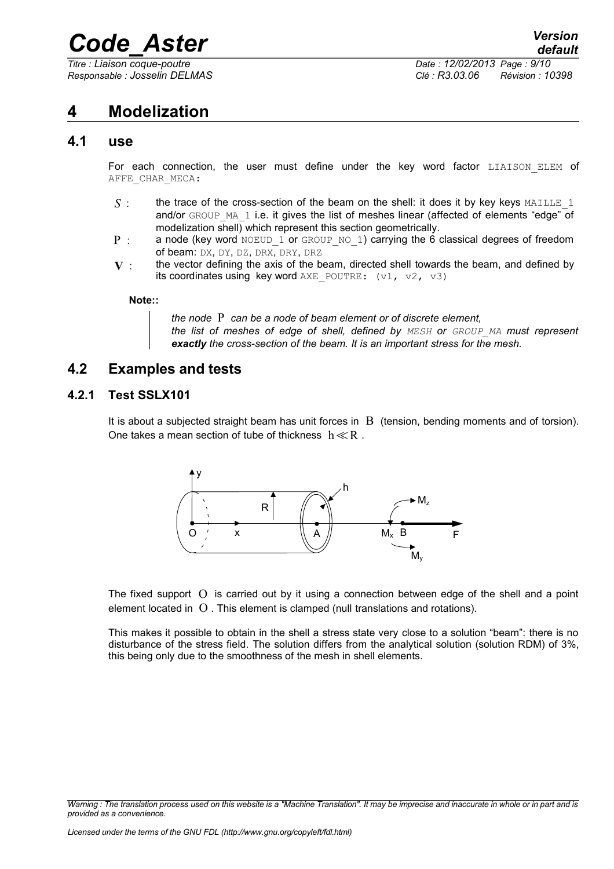*Titre : Liaison coque-poutre Date : 12/02/2013 Page : 9/10*

*Responsable : Josselin DELMAS Clé : R3.03.06 Révision : 10398*

### <span id="page-8-3"></span>**4 Modelization**

### **4.1 use**

<span id="page-8-2"></span>For each connection, the user must define under the key word factor LIAISON ELEM of AFFE\_CHAR\_MECA:

- $S$  : the trace of the cross-section of the beam on the shell: it does it by key keys MAILLE 1 and/or GROUP MA 1 i.e. it gives the list of meshes linear (affected of elements "edge" of modelization shell) which represent this section geometrically.
- P : a node (key word NOEUD\_1 or GROUP\_NO\_1) carrying the 6 classical degrees of freedom of beam: DX, DY, DZ, DRX, DRY, DRZ
- $V$  : the vector defining the axis of the beam, directed shell towards the beam, and defined by its coordinates using key word AXE\_POUTRE:  $(v1, v2, v3)$

#### **Note::**

*the node* P *can be a node of beam element or of discrete element, the list of meshes of edge of shell, defined by MESH or GROUP\_MA must represent exactly the cross-section of the beam. It is an important stress for the mesh.*

### <span id="page-8-1"></span>**4.2 Examples and tests**

#### **4.2.1 Test SSLX101**

<span id="page-8-0"></span>It is about a subjected straight beam has unit forces in  $\,B\,$  (tension, bending moments and of torsion). One takes a mean section of tube of thickness  $h \ll R$ .



The fixed support O is carried out by it using a connection between edge of the shell and a point element located in O . This element is clamped (null translations and rotations).

This makes it possible to obtain in the shell a stress state very close to a solution "beam": there is no disturbance of the stress field. The solution differs from the analytical solution (solution RDM) of 3%, this being only due to the smoothness of the mesh in shell elements.

*Warning : The translation process used on this website is a "Machine Translation". It may be imprecise and inaccurate in whole or in part and is provided as a convenience.*